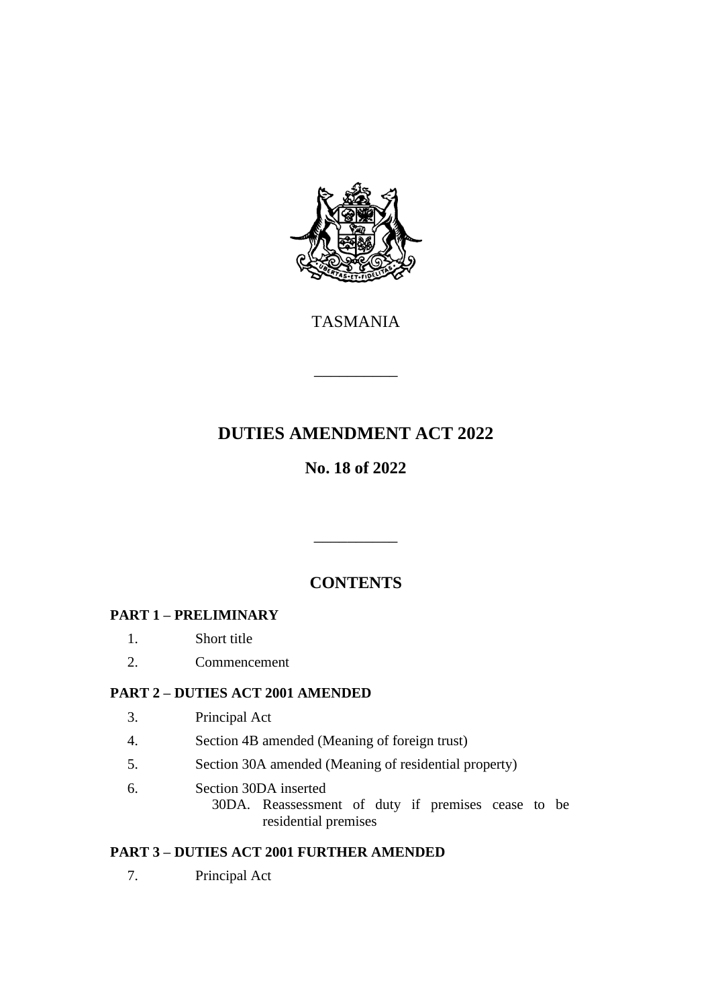

TASMANIA

\_\_\_\_\_\_\_\_\_\_

# **DUTIES AMENDMENT ACT 2022**

## **No. 18 of 2022**

## **CONTENTS**

\_\_\_\_\_\_\_\_\_\_

## **PART 1 – PRELIMINARY**

- 1. Short title
- 2. Commencement

#### **PART 2 – DUTIES ACT 2001 AMENDED**

- 3. Principal Act
- 4. Section 4B amended (Meaning of foreign trust)
- 5. Section 30A amended (Meaning of residential property)
- 6. Section 30DA inserted
	- 30DA. Reassessment of duty if premises cease to be residential premises

#### **PART 3 – DUTIES ACT 2001 FURTHER AMENDED**

7. Principal Act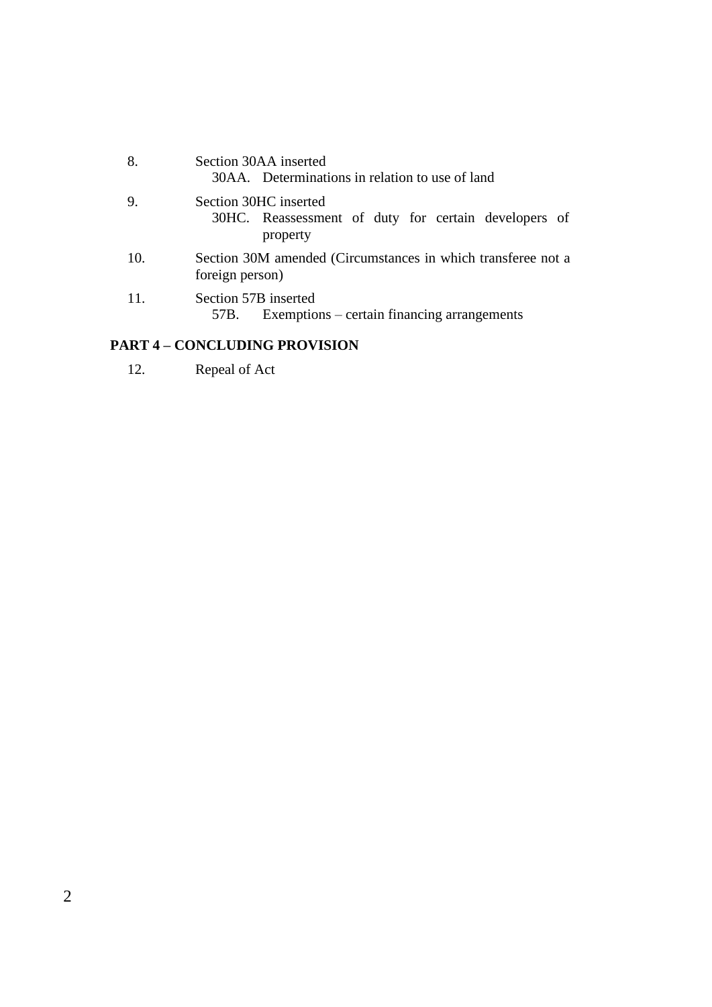| 8.  | Section 30AA inserted<br>30AA. Determinations in relation to use of land                  |
|-----|-------------------------------------------------------------------------------------------|
| 9.  | Section 30HC inserted<br>30HC. Reassessment of duty for certain developers of<br>property |
| 10. | Section 30M amended (Circumstances in which transferee not a<br>foreign person)           |
| 11. | Section 57B inserted<br>Exemptions – certain financing arrangements<br>$5/B$ .            |

#### **PART 4 – CONCLUDING PROVISION**

12. Repeal of Act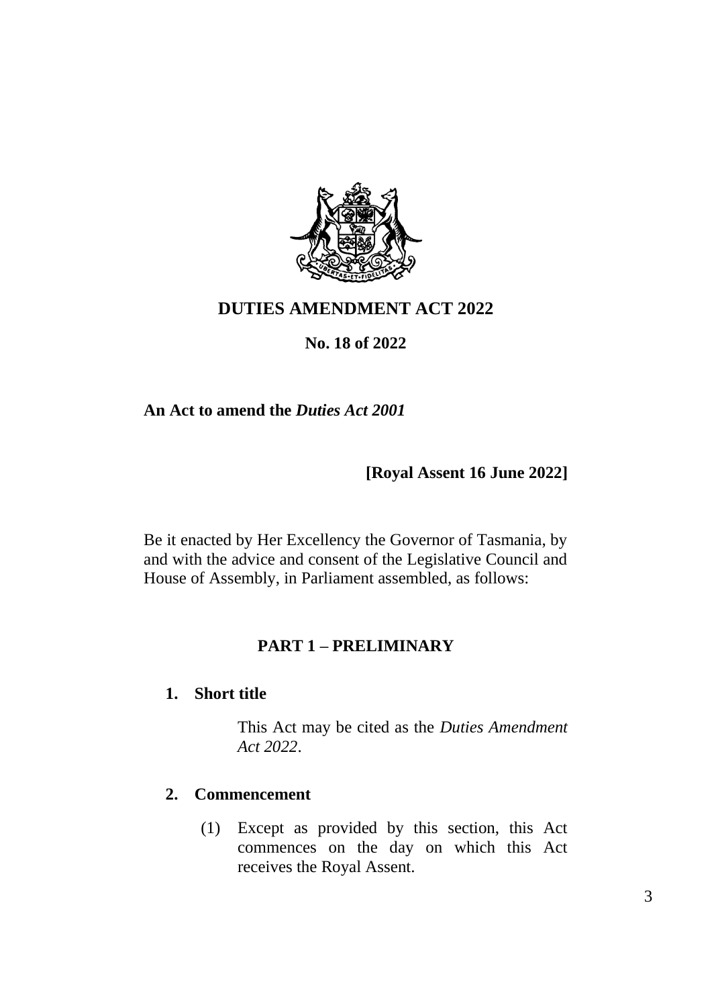

## **DUTIES AMENDMENT ACT 2022**

## **No. 18 of 2022**

### **An Act to amend the** *Duties Act 2001*

### **[Royal Assent 16 June 2022]**

Be it enacted by Her Excellency the Governor of Tasmania, by and with the advice and consent of the Legislative Council and House of Assembly, in Parliament assembled, as follows:

#### **PART 1 – PRELIMINARY**

#### **1. Short title**

This Act may be cited as the *Duties Amendment Act 2022*.

#### **2. Commencement**

(1) Except as provided by this section, this Act commences on the day on which this Act receives the Royal Assent.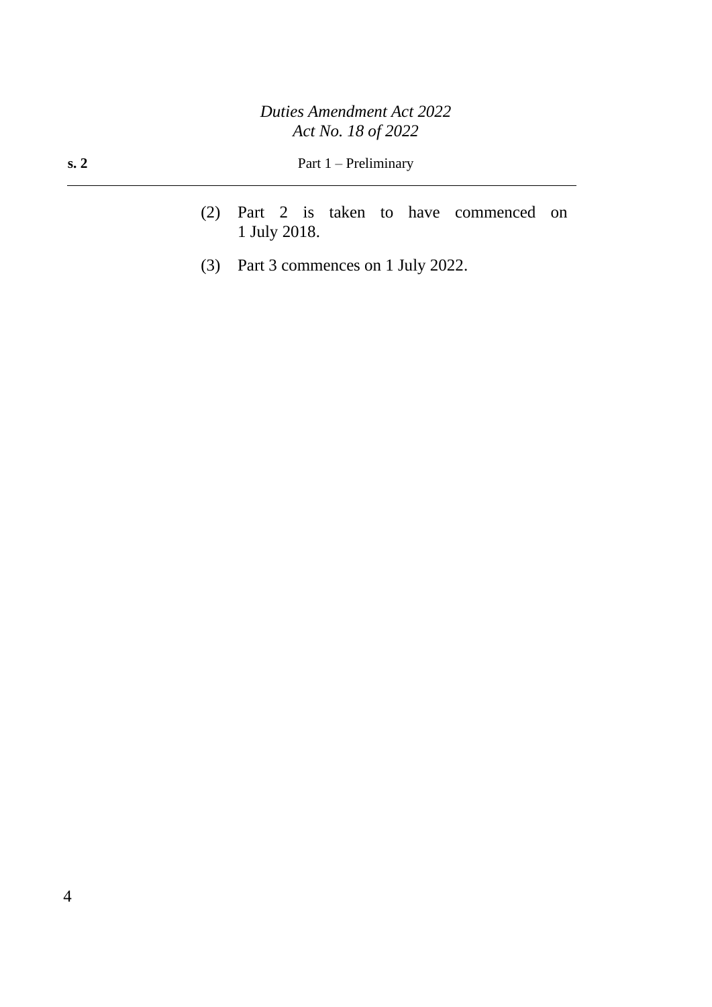- (2) Part 2 is taken to have commenced on 1 July 2018.
- (3) Part 3 commences on 1 July 2022.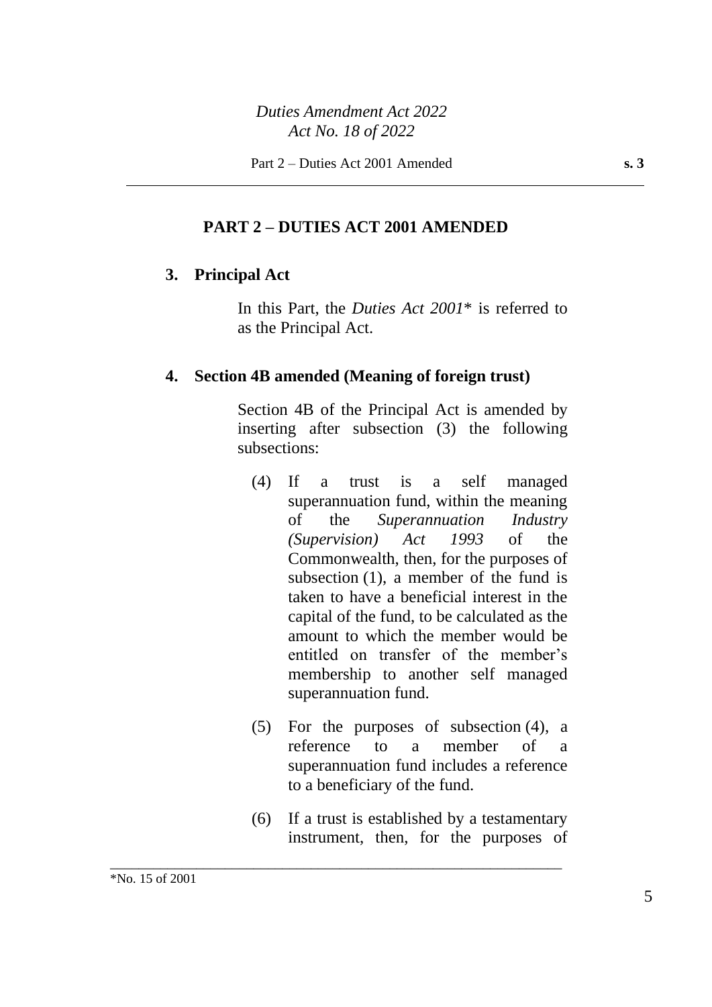#### **PART 2 – DUTIES ACT 2001 AMENDED**

#### **3. Principal Act**

In this Part, the *Duties Act 2001*\* is referred to as the Principal Act.

#### **4. Section 4B amended (Meaning of foreign trust)**

Section 4B of the Principal Act is amended by inserting after subsection (3) the following subsections:

- (4) If a trust is a self managed superannuation fund, within the meaning of the *Superannuation Industry (Supervision) Act 1993* of the Commonwealth, then, for the purposes of subsection (1), a member of the fund is taken to have a beneficial interest in the capital of the fund, to be calculated as the amount to which the member would be entitled on transfer of the member's membership to another self managed superannuation fund.
- (5) For the purposes of subsection (4), a reference to a member of a superannuation fund includes a reference to a beneficiary of the fund.
- (6) If a trust is established by a testamentary instrument, then, for the purposes of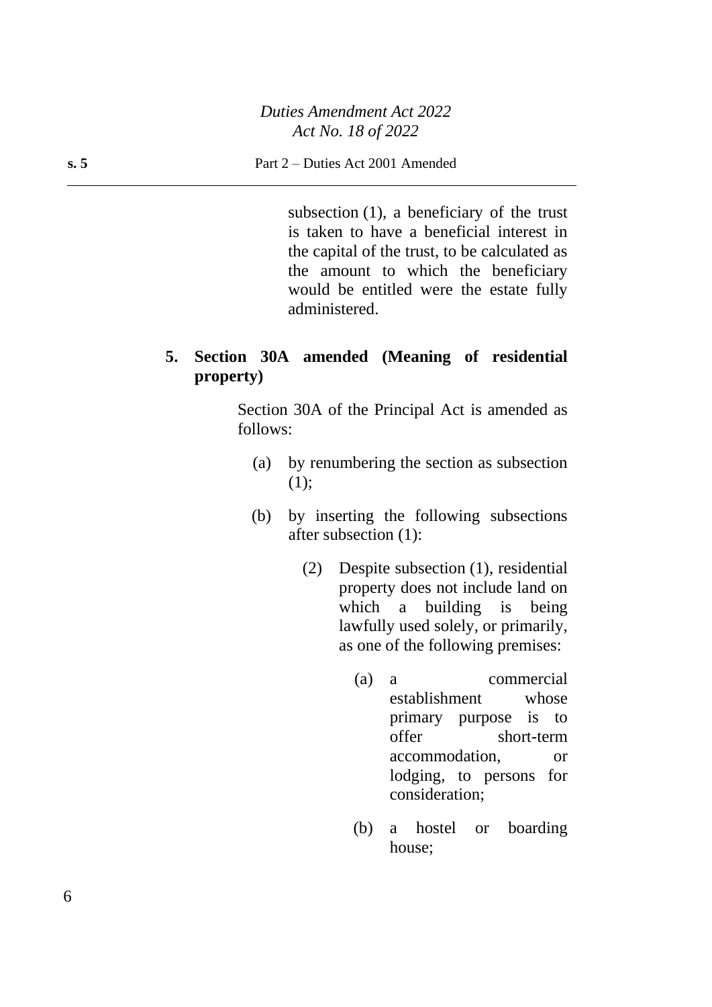subsection (1), a beneficiary of the trust is taken to have a beneficial interest in the capital of the trust, to be calculated as the amount to which the beneficiary would be entitled were the estate fully administered.

## **5. Section 30A amended (Meaning of residential property)**

Section 30A of the Principal Act is amended as follows:

- (a) by renumbering the section as subsection (1);
- (b) by inserting the following subsections after subsection (1):
	- (2) Despite subsection (1), residential property does not include land on which a building is being lawfully used solely, or primarily, as one of the following premises:
		- (a) a commercial establishment whose primary purpose is to offer short-term accommodation, or lodging, to persons for consideration;
		- (b) a hostel or boarding house;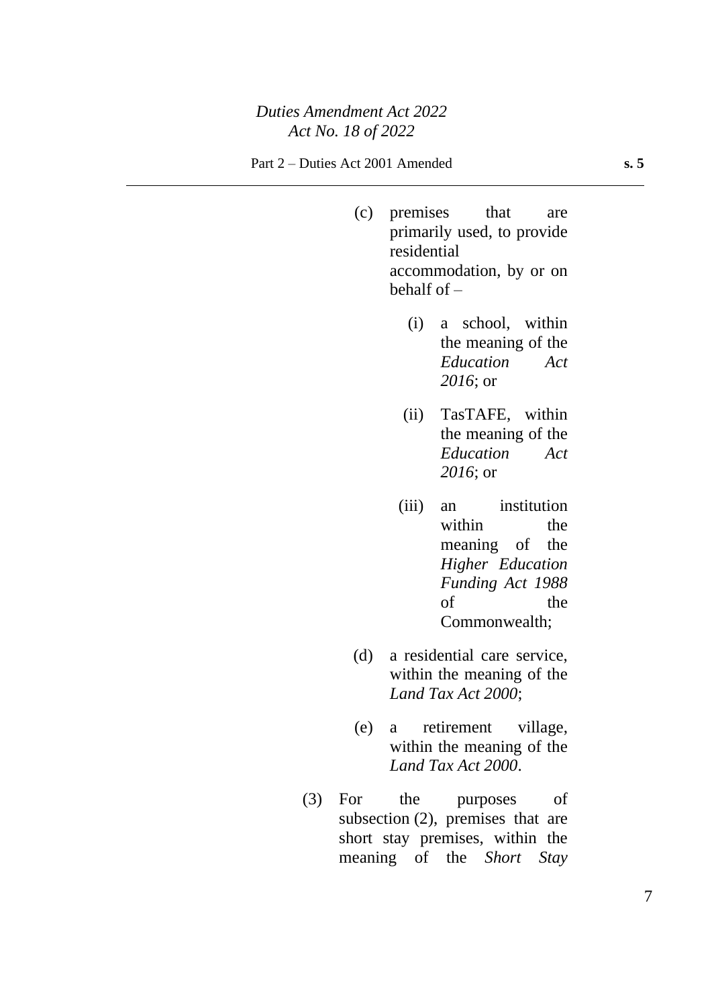- (c) premises that are primarily used, to provide residential accommodation, by or on behalf of – (i) a school, within the meaning of the *Education Act 2016*; or (ii) TasTAFE, within the meaning of the *Education Act 2016*; or (iii) an institution within the meaning of the *Higher Education Funding Act 1988* of the Commonwealth; (d) a residential care service, within the meaning of the *Land Tax Act 2000*;
- (e) a retirement village, within the meaning of the *Land Tax Act 2000*.
- (3) For the purposes of subsection (2), premises that are short stay premises, within the meaning of the *Short Stay*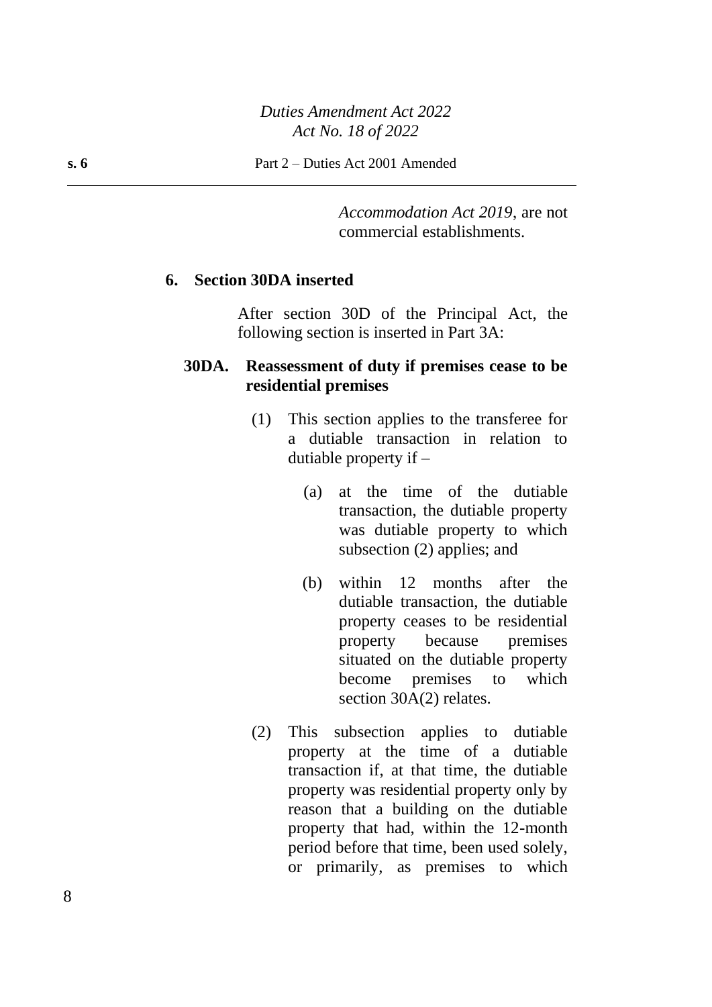*Accommodation Act 2019*, are not commercial establishments.

#### **6. Section 30DA inserted**

After section 30D of the Principal Act, the following section is inserted in Part 3A:

#### **30DA. Reassessment of duty if premises cease to be residential premises**

- (1) This section applies to the transferee for a dutiable transaction in relation to dutiable property if –
	- (a) at the time of the dutiable transaction, the dutiable property was dutiable property to which subsection (2) applies; and
	- (b) within 12 months after the dutiable transaction, the dutiable property ceases to be residential property because premises situated on the dutiable property become premises to which section 30A(2) relates.
- (2) This subsection applies to dutiable property at the time of a dutiable transaction if, at that time, the dutiable property was residential property only by reason that a building on the dutiable property that had, within the 12-month period before that time, been used solely, or primarily, as premises to which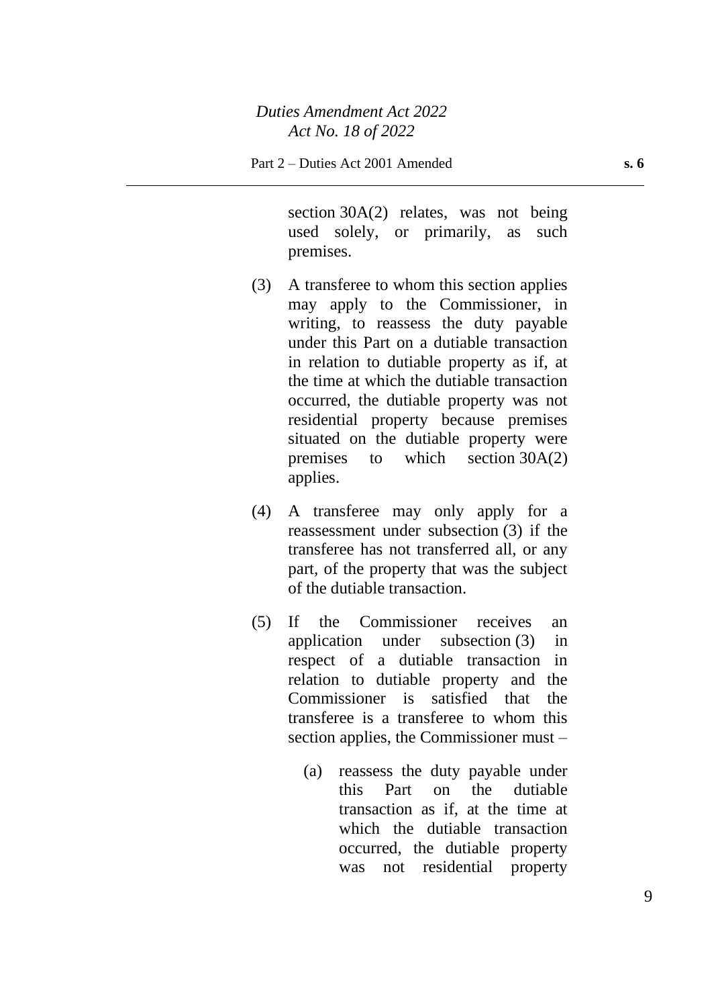section 30A(2) relates, was not being used solely, or primarily, as such premises.

- (3) A transferee to whom this section applies may apply to the Commissioner, in writing, to reassess the duty payable under this Part on a dutiable transaction in relation to dutiable property as if, at the time at which the dutiable transaction occurred, the dutiable property was not residential property because premises situated on the dutiable property were premises to which section 30A(2) applies.
- (4) A transferee may only apply for a reassessment under subsection (3) if the transferee has not transferred all, or any part, of the property that was the subject of the dutiable transaction.
- (5) If the Commissioner receives an application under subsection (3) in respect of a dutiable transaction in relation to dutiable property and the Commissioner is satisfied that the transferee is a transferee to whom this section applies, the Commissioner must –
	- (a) reassess the duty payable under this Part on the dutiable transaction as if, at the time at which the dutiable transaction occurred, the dutiable property was not residential property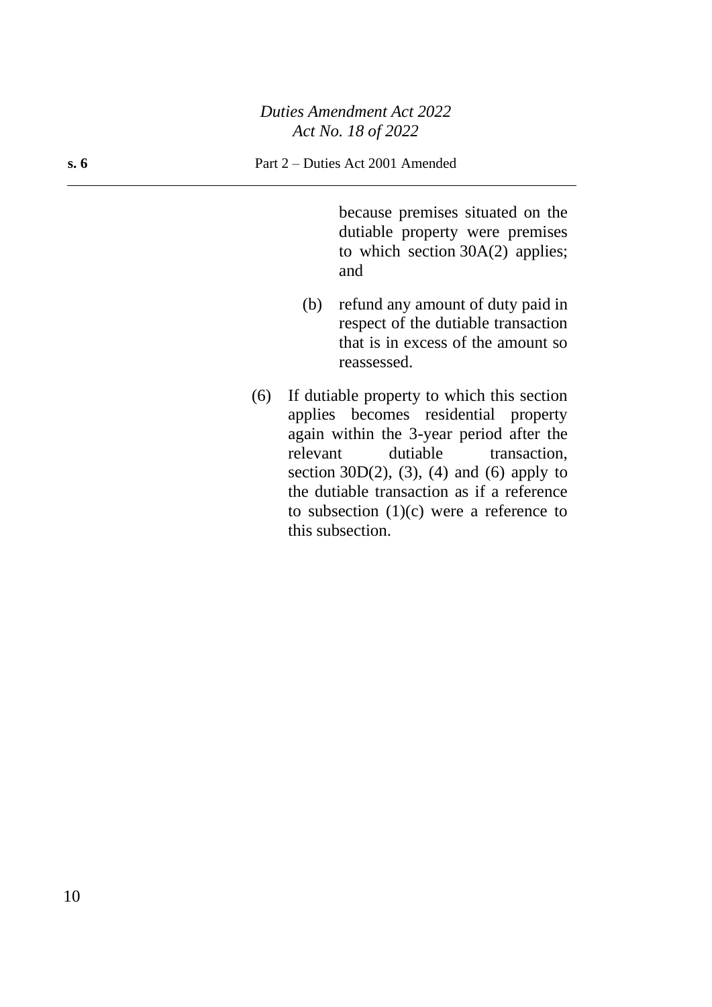because premises situated on the dutiable property were premises to which section 30A(2) applies; and

- (b) refund any amount of duty paid in respect of the dutiable transaction that is in excess of the amount so reassessed.
- (6) If dutiable property to which this section applies becomes residential property again within the 3-year period after the relevant dutiable transaction, section  $30D(2)$ ,  $(3)$ ,  $(4)$  and  $(6)$  apply to the dutiable transaction as if a reference to subsection  $(1)(c)$  were a reference to this subsection.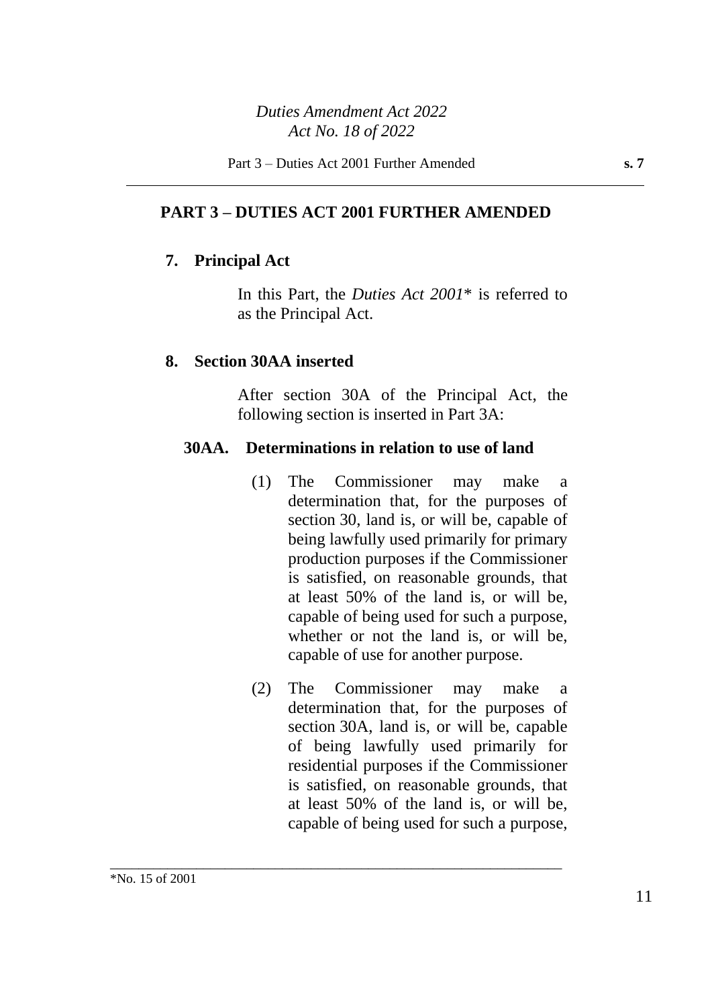### **PART 3 – DUTIES ACT 2001 FURTHER AMENDED**

#### **7. Principal Act**

In this Part, the *Duties Act 2001*\* is referred to as the Principal Act.

#### **8. Section 30AA inserted**

After section 30A of the Principal Act, the following section is inserted in Part 3A:

#### **30AA. Determinations in relation to use of land**

- (1) The Commissioner may make a determination that, for the purposes of section 30, land is, or will be, capable of being lawfully used primarily for primary production purposes if the Commissioner is satisfied, on reasonable grounds, that at least 50% of the land is, or will be, capable of being used for such a purpose, whether or not the land is, or will be, capable of use for another purpose.
- (2) The Commissioner may make a determination that, for the purposes of section 30A, land is, or will be, capable of being lawfully used primarily for residential purposes if the Commissioner is satisfied, on reasonable grounds, that at least 50% of the land is, or will be, capable of being used for such a purpose,

\_\_\_\_\_\_\_\_\_\_\_\_\_\_\_\_\_\_\_\_\_\_\_\_\_\_\_\_\_\_\_\_\_\_\_\_\_\_\_\_\_\_\_\_\_\_\_\_\_\_\_\_\_\_\_\_\_\_\_\_\_\_\_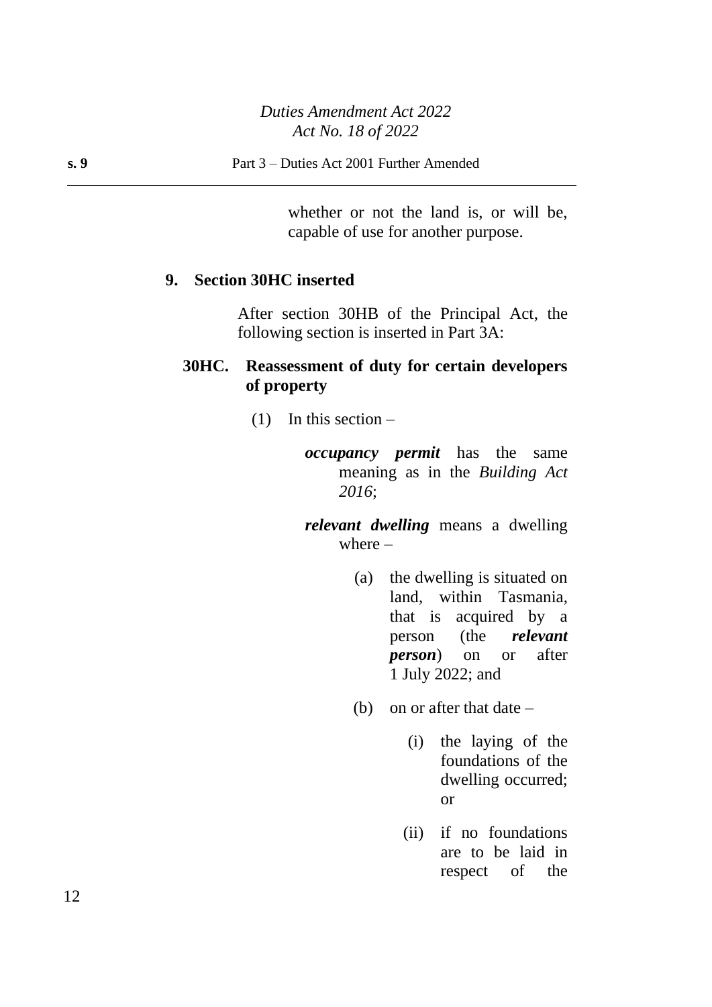whether or not the land is, or will be, capable of use for another purpose.

#### **9. Section 30HC inserted**

After section 30HB of the Principal Act, the following section is inserted in Part 3A:

### **30HC. Reassessment of duty for certain developers of property**

- $(1)$  In this section
	- *occupancy permit* has the same meaning as in the *Building Act 2016*;

*relevant dwelling* means a dwelling where –

- (a) the dwelling is situated on land, within Tasmania, that is acquired by a person (the *relevant person*) on or after 1 July 2022; and
- (b) on or after that date  $-$ 
	- (i) the laying of the foundations of the dwelling occurred; or
	- (ii) if no foundations are to be laid in respect of the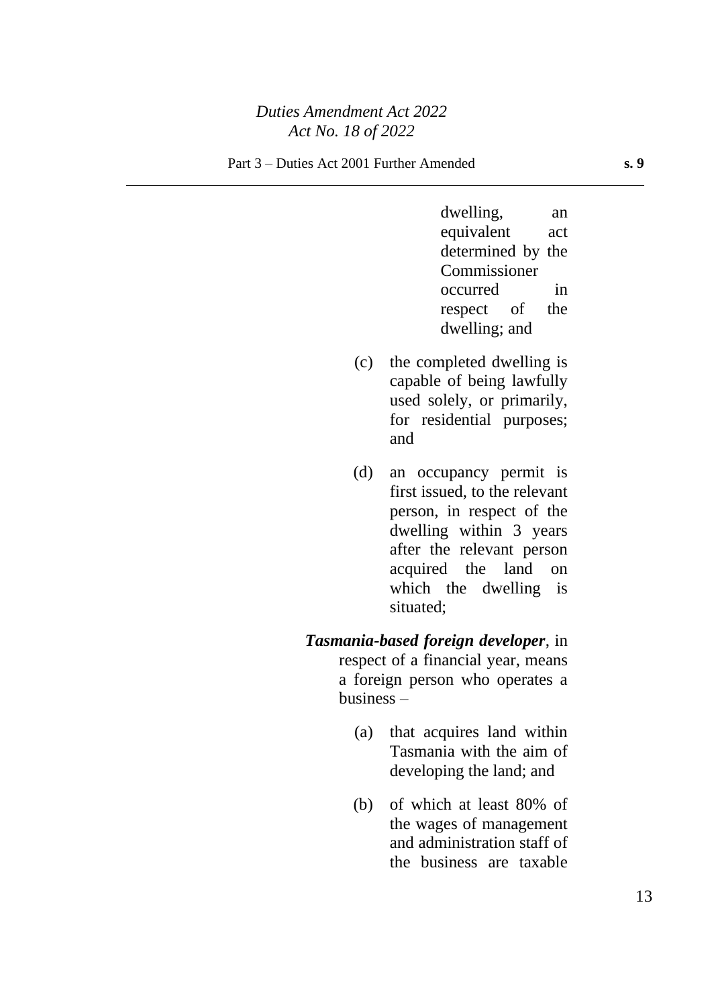dwelling, an equivalent act determined by the Commissioner occurred in respect of the dwelling; and

- (c) the completed dwelling is capable of being lawfully used solely, or primarily, for residential purposes; and
- (d) an occupancy permit is first issued, to the relevant person, in respect of the dwelling within 3 years after the relevant person acquired the land on which the dwelling is situated;
- *Tasmania-based foreign developer*, in respect of a financial year, means a foreign person who operates a business –
	- (a) that acquires land within Tasmania with the aim of developing the land; and
	- (b) of which at least 80% of the wages of management and administration staff of the business are taxable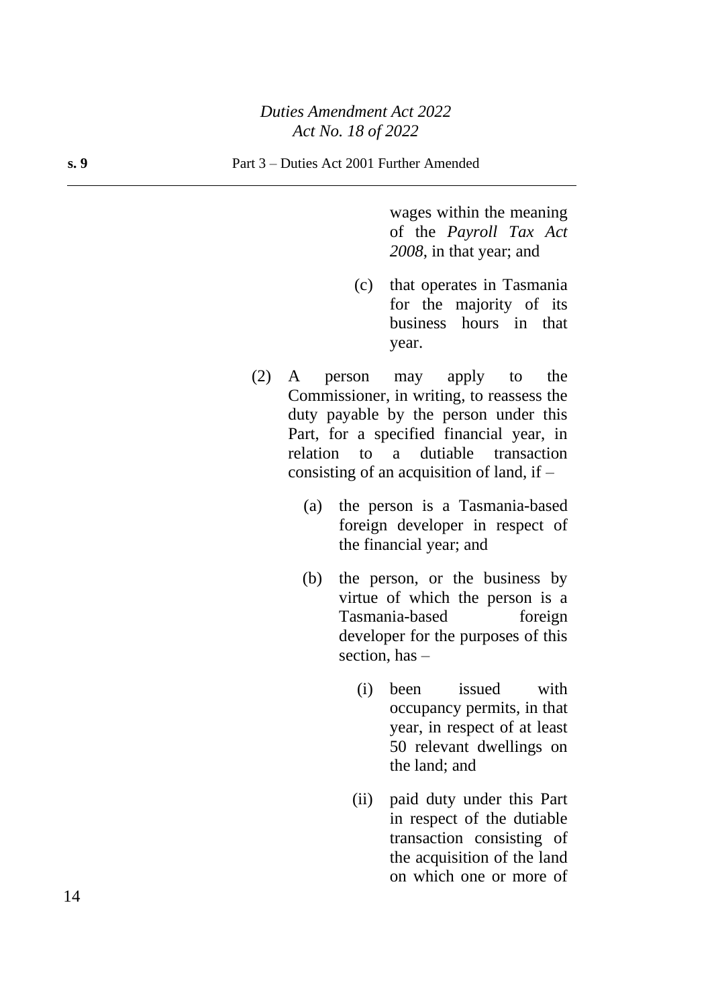wages within the meaning of the *Payroll Tax Act 2008*, in that year; and

- (c) that operates in Tasmania for the majority of its business hours in that year.
- (2) A person may apply to the Commissioner, in writing, to reassess the duty payable by the person under this Part, for a specified financial year, in relation to a dutiable transaction consisting of an acquisition of land, if –
	- (a) the person is a Tasmania-based foreign developer in respect of the financial year; and
	- (b) the person, or the business by virtue of which the person is a Tasmania-based foreign developer for the purposes of this section, has –
		- (i) been issued with occupancy permits, in that year, in respect of at least 50 relevant dwellings on the land; and
		- (ii) paid duty under this Part in respect of the dutiable transaction consisting of the acquisition of the land on which one or more of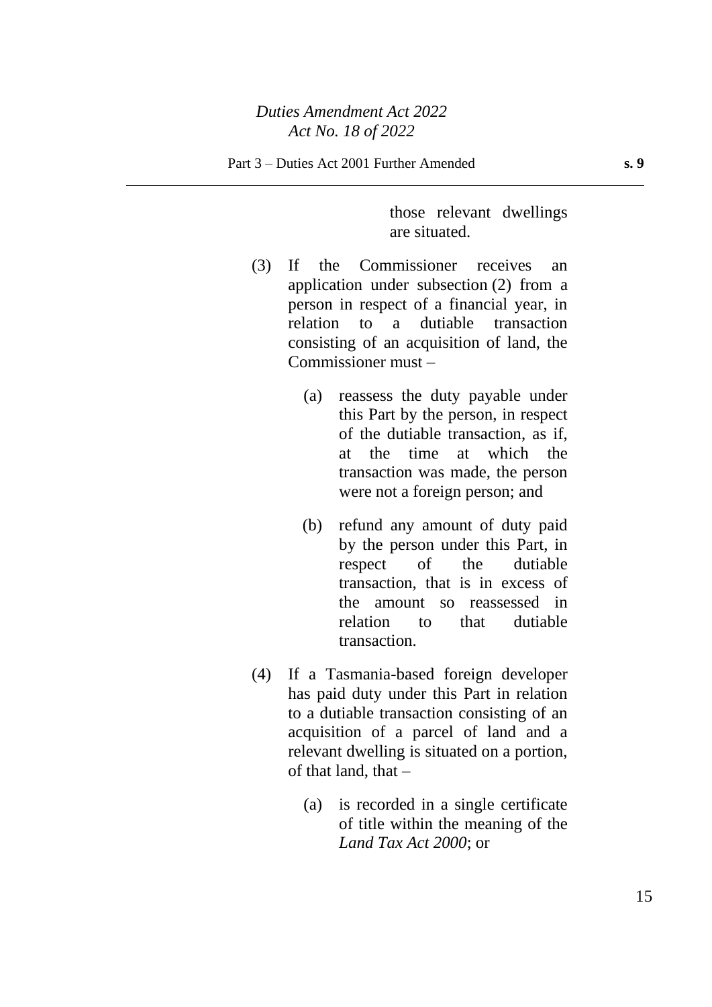those relevant dwellings are situated.

- (3) If the Commissioner receives an application under subsection (2) from a person in respect of a financial year, in relation to a dutiable transaction consisting of an acquisition of land, the Commissioner must –
	- (a) reassess the duty payable under this Part by the person, in respect of the dutiable transaction, as if, at the time at which the transaction was made, the person were not a foreign person; and
	- (b) refund any amount of duty paid by the person under this Part, in respect of the dutiable transaction, that is in excess of the amount so reassessed in relation to that dutiable transaction.
- (4) If a Tasmania-based foreign developer has paid duty under this Part in relation to a dutiable transaction consisting of an acquisition of a parcel of land and a relevant dwelling is situated on a portion, of that land, that –
	- (a) is recorded in a single certificate of title within the meaning of the *Land Tax Act 2000*; or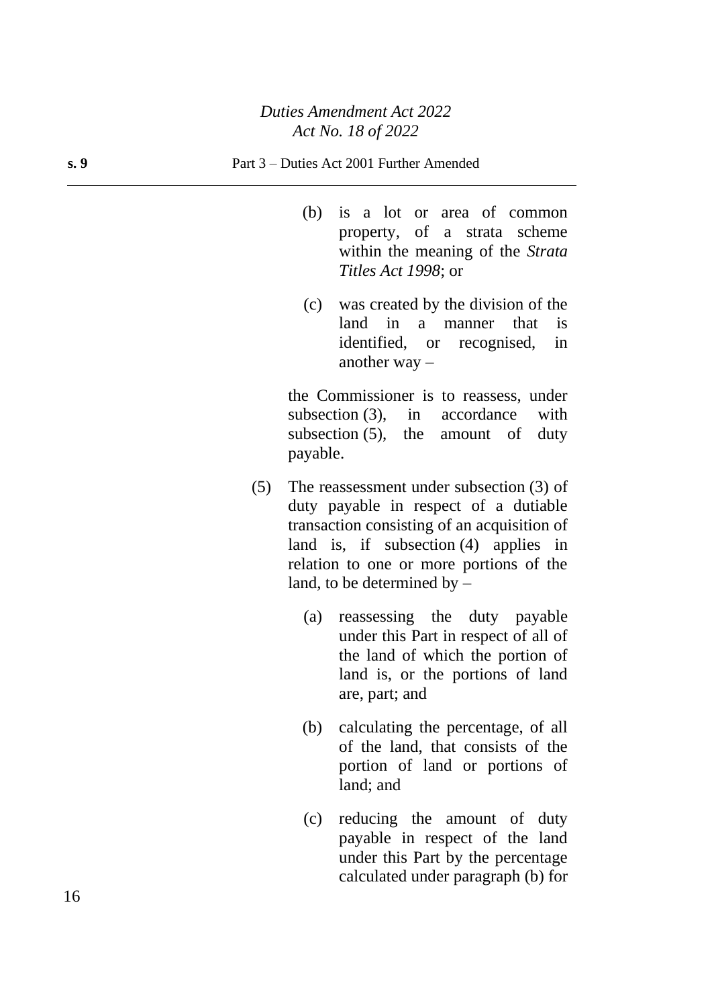- (b) is a lot or area of common property, of a strata scheme within the meaning of the *Strata Titles Act 1998*; or
- (c) was created by the division of the land in a manner that is identified, or recognised, in another way –

the Commissioner is to reassess, under subsection (3), in accordance with subsection (5), the amount of duty payable.

- (5) The reassessment under subsection (3) of duty payable in respect of a dutiable transaction consisting of an acquisition of land is, if subsection (4) applies in relation to one or more portions of the land, to be determined by –
	- (a) reassessing the duty payable under this Part in respect of all of the land of which the portion of land is, or the portions of land are, part; and
	- (b) calculating the percentage, of all of the land, that consists of the portion of land or portions of land; and
	- (c) reducing the amount of duty payable in respect of the land under this Part by the percentage calculated under paragraph (b) for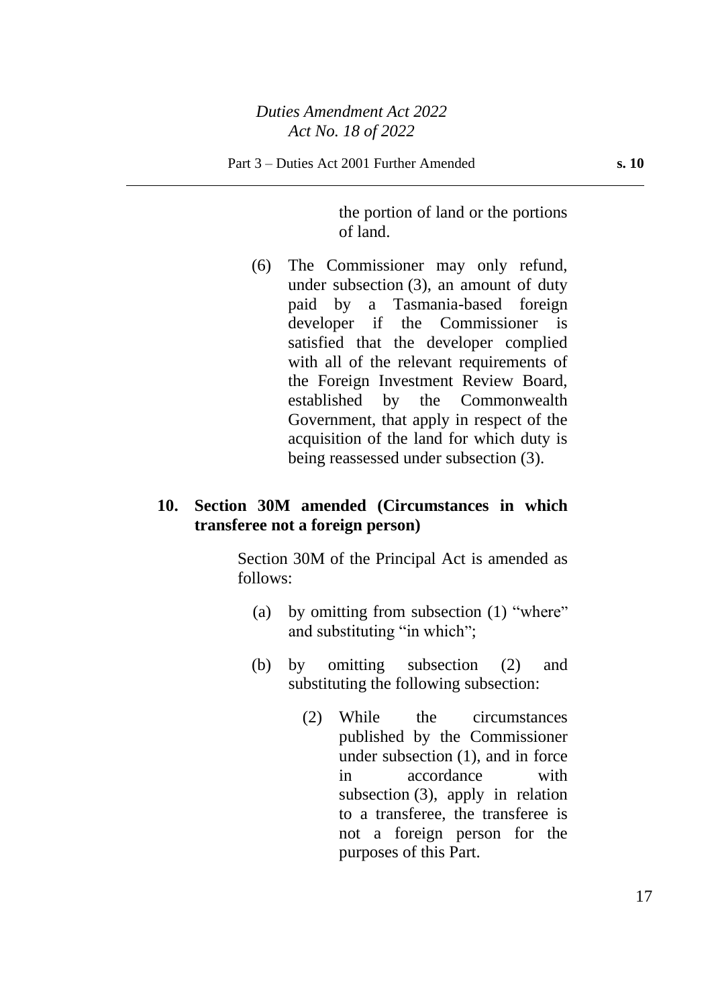the portion of land or the portions of land.

(6) The Commissioner may only refund, under subsection (3), an amount of duty paid by a Tasmania-based foreign developer if the Commissioner is satisfied that the developer complied with all of the relevant requirements of the Foreign Investment Review Board, established by the Commonwealth Government, that apply in respect of the acquisition of the land for which duty is being reassessed under subsection (3).

## **10. Section 30M amended (Circumstances in which transferee not a foreign person)**

Section 30M of the Principal Act is amended as follows:

- (a) by omitting from subsection (1) "where" and substituting "in which";
- (b) by omitting subsection (2) and substituting the following subsection:
	- (2) While the circumstances published by the Commissioner under subsection (1), and in force in accordance with subsection (3), apply in relation to a transferee, the transferee is not a foreign person for the purposes of this Part.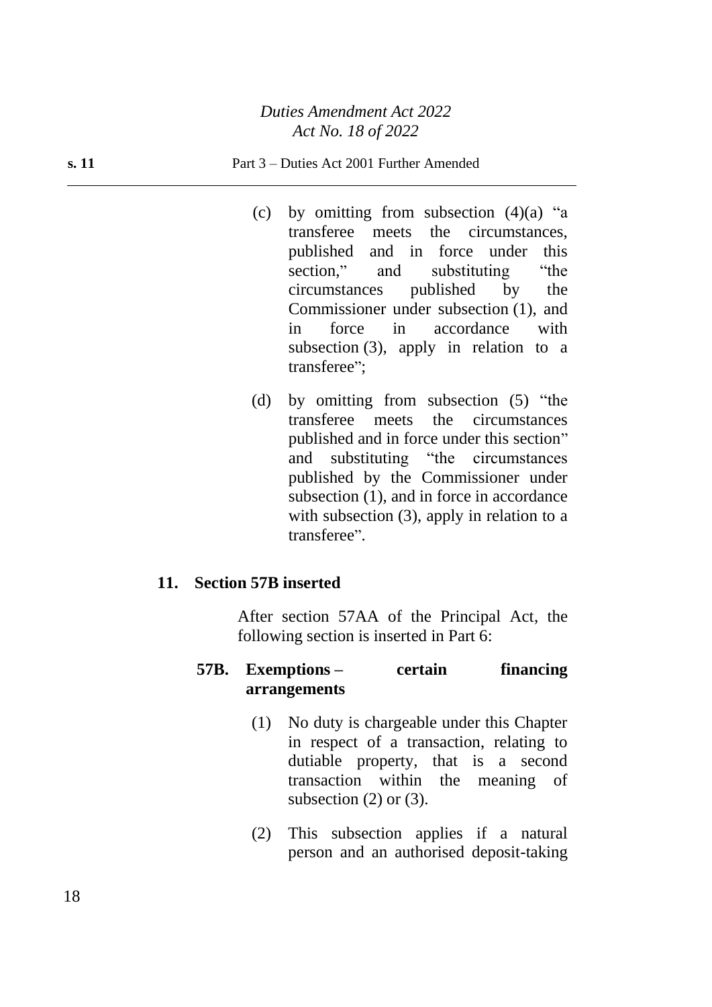- (c) by omitting from subsection  $(4)(a)$  "a transferee meets the circumstances, published and in force under this section," and substituting "the circumstances published by the Commissioner under subsection (1), and in force in accordance with subsection (3), apply in relation to a transferee";
- (d) by omitting from subsection (5) "the transferee meets the circumstances published and in force under this section" and substituting "the circumstances published by the Commissioner under subsection (1), and in force in accordance with subsection (3), apply in relation to a transferee".

### **11. Section 57B inserted**

After section 57AA of the Principal Act, the following section is inserted in Part 6:

#### **57B. Exemptions – certain financing arrangements**

- (1) No duty is chargeable under this Chapter in respect of a transaction, relating to dutiable property, that is a second transaction within the meaning of subsection  $(2)$  or  $(3)$ .
- (2) This subsection applies if a natural person and an authorised deposit-taking

18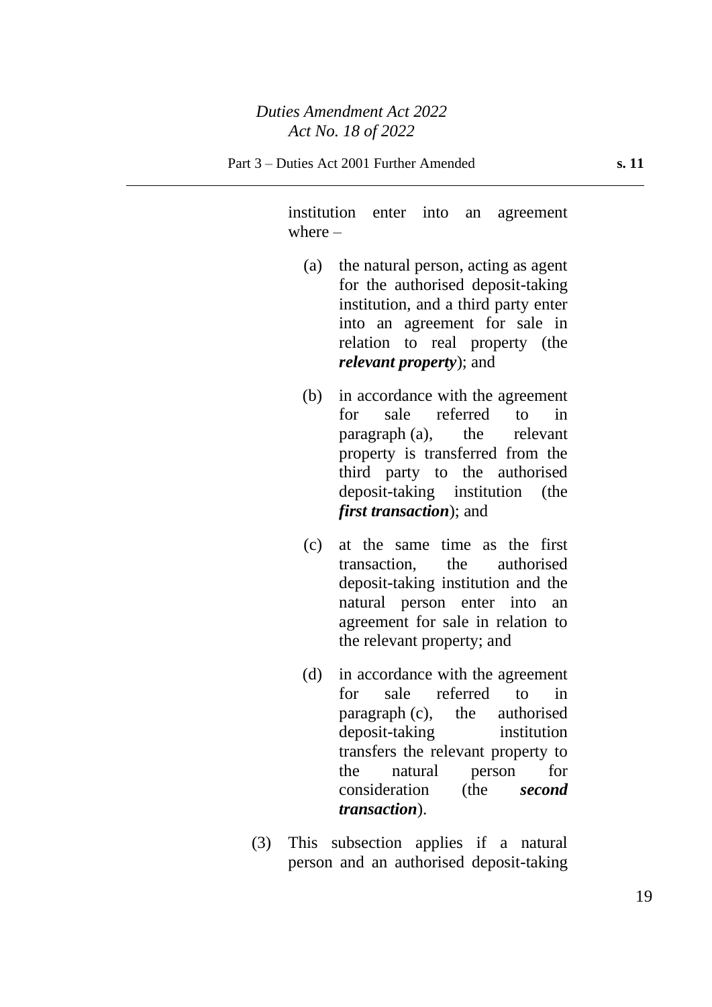institution enter into an agreement where  $-$ 

- (a) the natural person, acting as agent for the authorised deposit-taking institution, and a third party enter into an agreement for sale in relation to real property (the *relevant property*); and
- (b) in accordance with the agreement for sale referred to in paragraph (a), the relevant property is transferred from the third party to the authorised deposit-taking institution (the *first transaction*); and
- (c) at the same time as the first transaction, the authorised deposit-taking institution and the natural person enter into an agreement for sale in relation to the relevant property; and
- (d) in accordance with the agreement for sale referred to in paragraph (c), the authorised deposit-taking institution transfers the relevant property to the natural person for consideration (the *second transaction*).
- (3) This subsection applies if a natural person and an authorised deposit-taking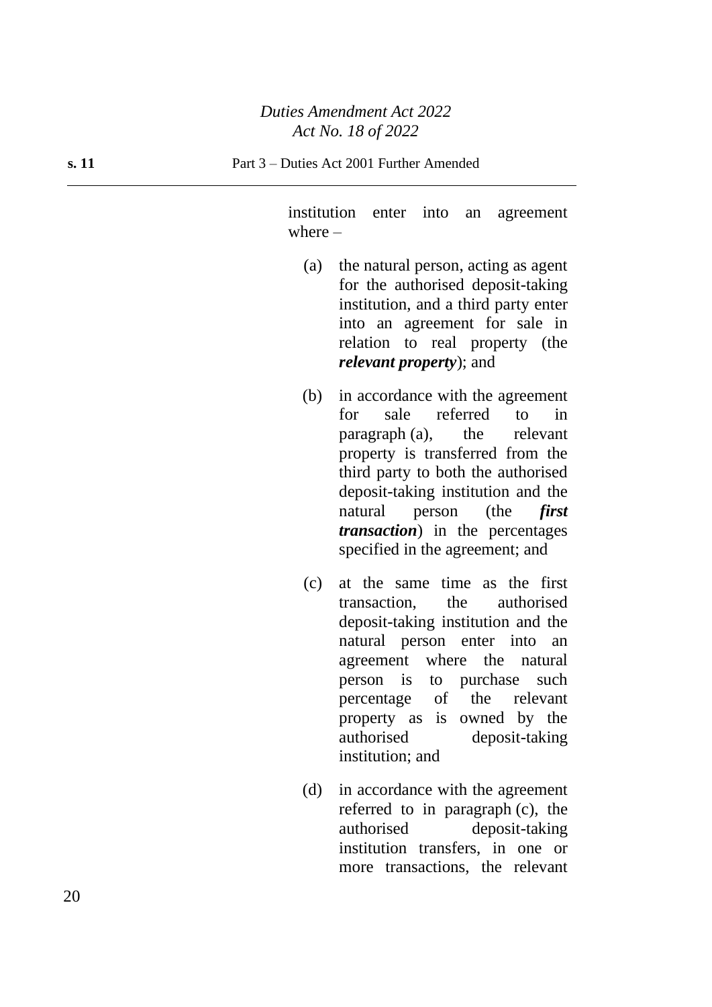institution enter into an agreement where –

- (a) the natural person, acting as agent for the authorised deposit-taking institution, and a third party enter into an agreement for sale in relation to real property (the *relevant property*); and
- (b) in accordance with the agreement for sale referred to in paragraph (a), the relevant property is transferred from the third party to both the authorised deposit-taking institution and the natural person (the *first transaction*) in the percentages specified in the agreement; and
- (c) at the same time as the first transaction, the authorised deposit-taking institution and the natural person enter into an agreement where the natural person is to purchase such percentage of the relevant property as is owned by the authorised deposit-taking institution; and
- (d) in accordance with the agreement referred to in paragraph (c), the authorised deposit-taking institution transfers, in one or more transactions, the relevant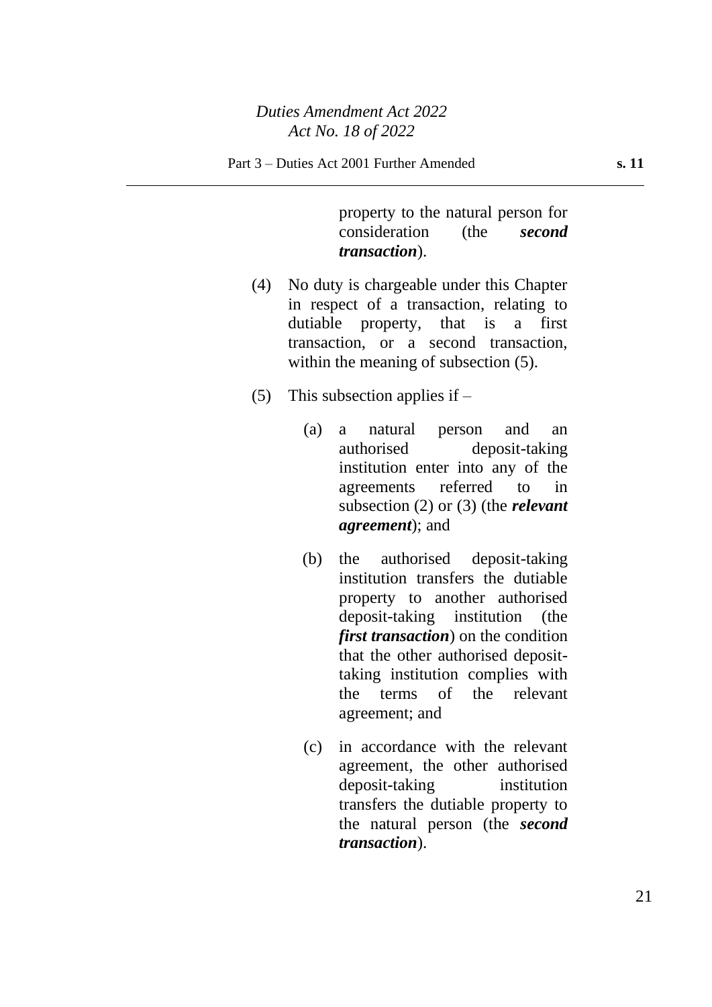property to the natural person for consideration (the *second transaction*).

- (4) No duty is chargeable under this Chapter in respect of a transaction, relating to dutiable property, that is a first transaction, or a second transaction, within the meaning of subsection  $(5)$ .
- (5) This subsection applies if  $-$ 
	- (a) a natural person and an authorised deposit-taking institution enter into any of the agreements referred to in subsection (2) or (3) (the *relevant agreement*); and
	- (b) the authorised deposit-taking institution transfers the dutiable property to another authorised deposit-taking institution (the *first transaction*) on the condition that the other authorised deposittaking institution complies with the terms of the relevant agreement; and
	- (c) in accordance with the relevant agreement, the other authorised deposit-taking institution transfers the dutiable property to the natural person (the *second transaction*).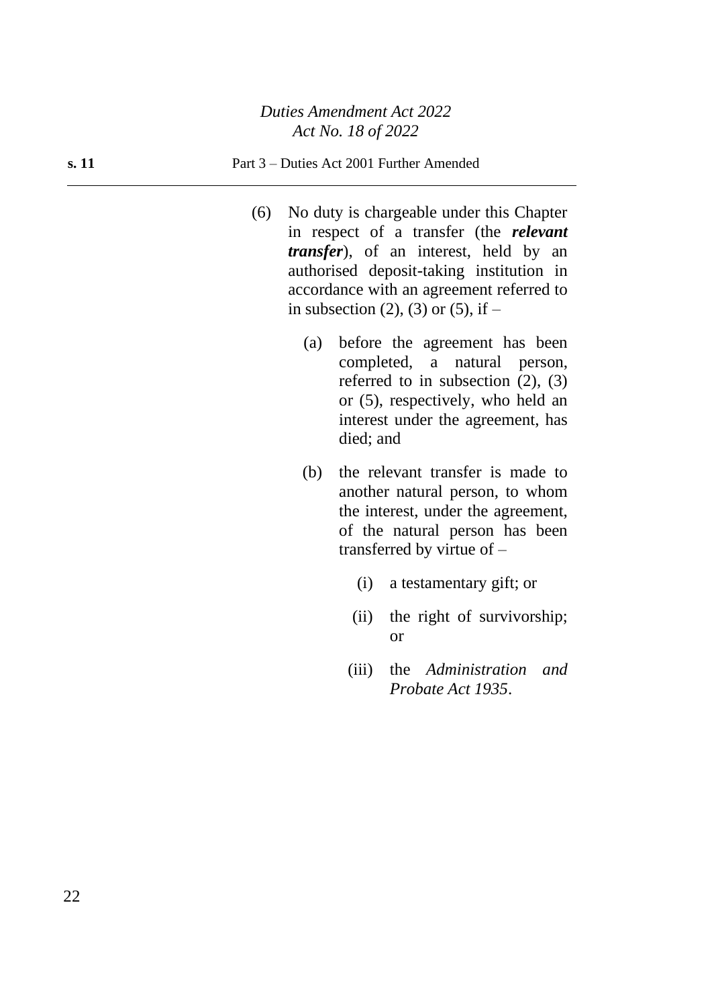#### **s. 11** Part 3 – Duties Act 2001 Further Amended

- (6) No duty is chargeable under this Chapter in respect of a transfer (the *relevant transfer*), of an interest, held by an authorised deposit-taking institution in accordance with an agreement referred to in subsection (2), (3) or (5), if  $-$ 
	- (a) before the agreement has been completed, a natural person, referred to in subsection  $(2)$ ,  $(3)$ or (5), respectively, who held an interest under the agreement, has died; and
	- (b) the relevant transfer is made to another natural person, to whom the interest, under the agreement, of the natural person has been transferred by virtue of –
		- (i) a testamentary gift; or
		- (ii) the right of survivorship; or
		- (iii) the *Administration and Probate Act 1935*.